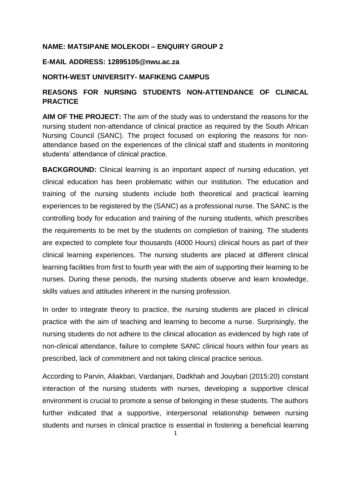#### **NAME: MATSIPANE MOLEKODI – ENQUIRY GROUP 2**

### **E-MAIL ADDRESS: 12895105@nwu.ac.za**

#### **NORTH-WEST UNIVERSITY- MAFIKENG CAMPUS**

## **REASONS FOR NURSING STUDENTS NON-ATTENDANCE OF CLINICAL PRACTICE**

**AIM OF THE PROJECT:** The aim of the study was to understand the reasons for the nursing student non-attendance of clinical practice as required by the South African Nursing Council (SANC). The project focused on exploring the reasons for nonattendance based on the experiences of the clinical staff and students in monitoring students' attendance of clinical practice.

**BACKGROUND:** Clinical learning is an important aspect of nursing education, yet clinical education has been problematic within our institution. The education and training of the nursing students include both theoretical and practical learning experiences to be registered by the (SANC) as a professional nurse. The SANC is the controlling body for education and training of the nursing students, which prescribes the requirements to be met by the students on completion of training. The students are expected to complete four thousands (4000 Hours) clinical hours as part of their clinical learning experiences. The nursing students are placed at different clinical learning facilities from first to fourth year with the aim of supporting their learning to be nurses. During these periods, the nursing students observe and learn knowledge, skills values and attitudes inherent in the nursing profession.

In order to integrate theory to practice, the nursing students are placed in clinical practice with the aim of teaching and learning to become a nurse. Surprisingly, the nursing students do not adhere to the clinical allocation as evidenced by high rate of non-clinical attendance, failure to complete SANC clinical hours within four years as prescribed, lack of commitment and not taking clinical practice serious.

According to Parvin, Aliakbari, Vardanjani, Dadkhah and Jouybari (2015:20) constant interaction of the nursing students with nurses, developing a supportive clinical environment is crucial to promote a sense of belonging in these students. The authors further indicated that a supportive, interpersonal relationship between nursing students and nurses in clinical practice is essential in fostering a beneficial learning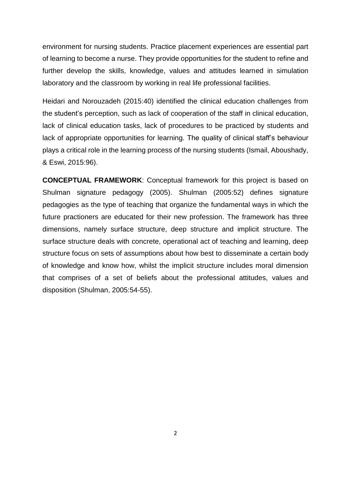environment for nursing students. Practice placement experiences are essential part of learning to become a nurse. They provide opportunities for the student to refine and further develop the skills, knowledge, values and attitudes learned in simulation laboratory and the classroom by working in real life professional facilities.

Heidari and Norouzadeh (2015:40) identified the clinical education challenges from the student's perception, such as lack of cooperation of the staff in clinical education, lack of clinical education tasks, lack of procedures to be practiced by students and lack of appropriate opportunities for learning. The quality of clinical staff's behaviour plays a critical role in the learning process of the nursing students (Ismail, Aboushady, & Eswi, 2015:96).

**CONCEPTUAL FRAMEWORK**: Conceptual framework for this project is based on Shulman signature pedagogy (2005). Shulman (2005:52) defines signature pedagogies as the type of teaching that organize the fundamental ways in which the future practioners are educated for their new profession. The framework has three dimensions, namely surface structure, deep structure and implicit structure. The surface structure deals with concrete, operational act of teaching and learning, deep structure focus on sets of assumptions about how best to disseminate a certain body of knowledge and know how, whilst the implicit structure includes moral dimension that comprises of a set of beliefs about the professional attitudes, values and disposition (Shulman, 2005:54-55).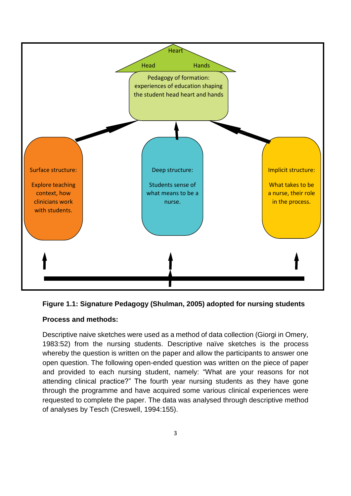



# **Process and methods:**

Descriptive naive sketches were used as a method of data collection (Giorgi in Omery, 1983:52) from the nursing students. Descriptive naïve sketches is the process whereby the question is written on the paper and allow the participants to answer one open question. The following open-ended question was written on the piece of paper and provided to each nursing student, namely: "What are your reasons for not attending clinical practice?" The fourth year nursing students as they have gone through the programme and have acquired some various clinical experiences were requested to complete the paper. The data was analysed through descriptive method of analyses by Tesch (Creswell, 1994:155).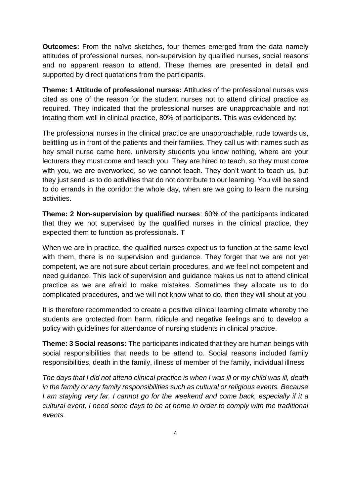**Outcomes:** From the naïve sketches, four themes emerged from the data namely attitudes of professional nurses, non-supervision by qualified nurses, social reasons and no apparent reason to attend. These themes are presented in detail and supported by direct quotations from the participants.

**Theme: 1 Attitude of professional nurses:** Attitudes of the professional nurses was cited as one of the reason for the student nurses not to attend clinical practice as required. They indicated that the professional nurses are unapproachable and not treating them well in clinical practice, 80% of participants. This was evidenced by:

The professional nurses in the clinical practice are unapproachable, rude towards us, belittling us in front of the patients and their families. They call us with names such as hey small nurse came here, university students you know nothing, where are your lecturers they must come and teach you. They are hired to teach, so they must come with you, we are overworked, so we cannot teach. They don't want to teach us, but they just send us to do activities that do not contribute to our learning. You will be send to do errands in the corridor the whole day, when are we going to learn the nursing activities.

**Theme: 2 Non-supervision by qualified nurses**: 60% of the participants indicated that they we not supervised by the qualified nurses in the clinical practice, they expected them to function as professionals. T

When we are in practice, the qualified nurses expect us to function at the same level with them, there is no supervision and guidance. They forget that we are not yet competent, we are not sure about certain procedures, and we feel not competent and need guidance. This lack of supervision and guidance makes us not to attend clinical practice as we are afraid to make mistakes. Sometimes they allocate us to do complicated procedures, and we will not know what to do, then they will shout at you.

It is therefore recommended to create a positive clinical learning climate whereby the students are protected from harm, ridicule and negative feelings and to develop a policy with guidelines for attendance of nursing students in clinical practice.

**Theme: 3 Social reasons:** The participants indicated that they are human beings with social responsibilities that needs to be attend to. Social reasons included family responsibilities, death in the family, illness of member of the family, individual illness

*The days that I did not attend clinical practice is when I was ill or my child was ill, death in the family or any family responsibilities such as cultural or religious events. Because I am staying very far, I cannot go for the weekend and come back, especially if it a cultural event, I need some days to be at home in order to comply with the traditional events.*